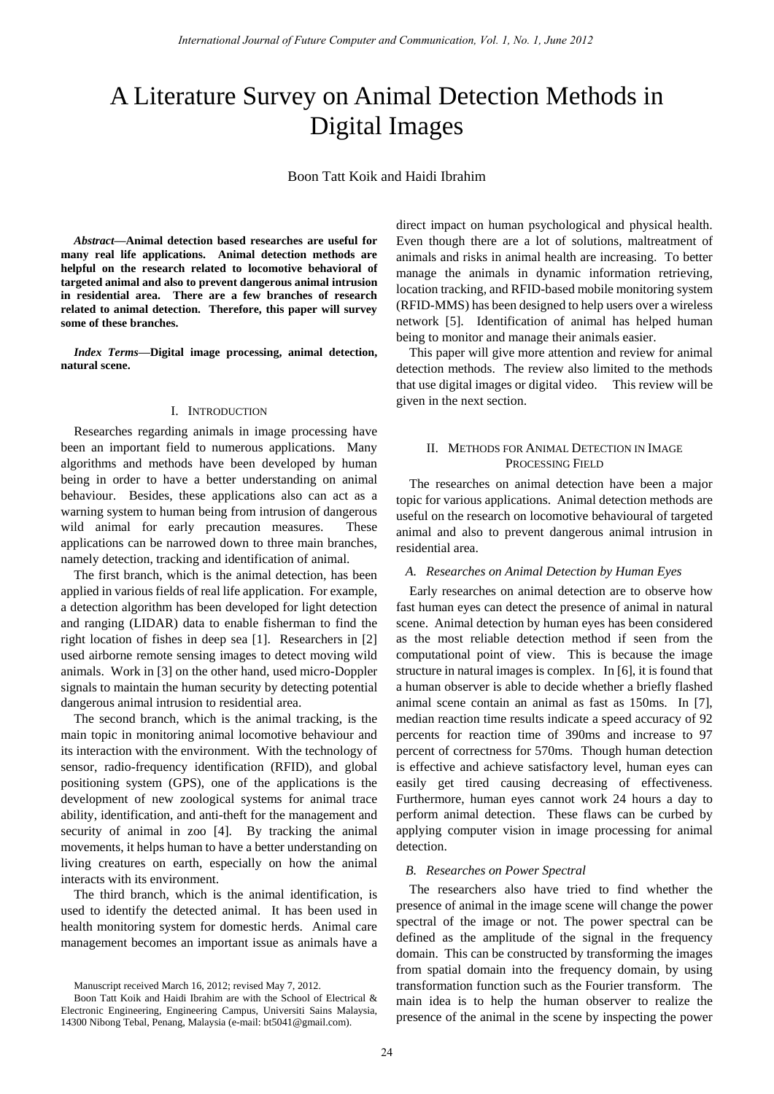# A Literature Survey on Animal Detection Methods in Digital Images

Boon Tatt Koik and Haidi Ibrahim

*Abstract***—Animal detection based researches are useful for many real life applications. Animal detection methods are helpful on the research related to locomotive behavioral of targeted animal and also to prevent dangerous animal intrusion in residential area. There are a few branches of research related to animal detection. Therefore, this paper will survey some of these branches.** 

*Index Terms***—Digital image processing, animal detection, natural scene.** 

## I. INTRODUCTION

Researches regarding animals in image processing have been an important field to numerous applications. Many algorithms and methods have been developed by human being in order to have a better understanding on animal behaviour. Besides, these applications also can act as a warning system to human being from intrusion of dangerous wild animal for early precaution measures. These applications can be narrowed down to three main branches, namely detection, tracking and identification of animal.

The first branch, which is the animal detection, has been applied in various fields of real life application. For example, a detection algorithm has been developed for light detection and ranging (LIDAR) data to enable fisherman to find the right location of fishes in deep sea [1]. Researchers in [2] used airborne remote sensing images to detect moving wild animals. Work in [3] on the other hand, used micro-Doppler signals to maintain the human security by detecting potential dangerous animal intrusion to residential area.

The second branch, which is the animal tracking, is the main topic in monitoring animal locomotive behaviour and its interaction with the environment. With the technology of sensor, radio-frequency identification (RFID), and global positioning system (GPS), one of the applications is the development of new zoological systems for animal trace ability, identification, and anti-theft for the management and security of animal in zoo [4]. By tracking the animal movements, it helps human to have a better understanding on living creatures on earth, especially on how the animal interacts with its environment.

The third branch, which is the animal identification, is used to identify the detected animal. It has been used in health monitoring system for domestic herds. Animal care management becomes an important issue as animals have a direct impact on human psychological and physical health. Even though there are a lot of solutions, maltreatment of animals and risks in animal health are increasing. To better manage the animals in dynamic information retrieving, location tracking, and RFID-based mobile monitoring system (RFID-MMS) has been designed to help users over a wireless network [5]. Identification of animal has helped human being to monitor and manage their animals easier.

This paper will give more attention and review for animal detection methods. The review also limited to the methods that use digital images or digital video. This review will be given in the next section.

### II. METHODS FOR ANIMAL DETECTION IN IMAGE PROCESSING FIELD

The researches on animal detection have been a major topic for various applications. Animal detection methods are useful on the research on locomotive behavioural of targeted animal and also to prevent dangerous animal intrusion in residential area.

#### *A. Researches on Animal Detection by Human Eyes*

Early researches on animal detection are to observe how fast human eyes can detect the presence of animal in natural scene. Animal detection by human eyes has been considered as the most reliable detection method if seen from the computational point of view. This is because the image structure in natural images is complex. In [6], it is found that a human observer is able to decide whether a briefly flashed animal scene contain an animal as fast as 150ms. In [7], median reaction time results indicate a speed accuracy of 92 percents for reaction time of 390ms and increase to 97 percent of correctness for 570ms. Though human detection is effective and achieve satisfactory level, human eyes can easily get tired causing decreasing of effectiveness. Furthermore, human eyes cannot work 24 hours a day to perform animal detection. These flaws can be curbed by applying computer vision in image processing for animal detection.

#### *B. Researches on Power Spectral*

The researchers also have tried to find whether the presence of animal in the image scene will change the power spectral of the image or not. The power spectral can be defined as the amplitude of the signal in the frequency domain. This can be constructed by transforming the images from spatial domain into the frequency domain, by using transformation function such as the Fourier transform. The main idea is to help the human observer to realize the presence of the animal in the scene by inspecting the power

Manuscript received March 16, 2012; revised May 7, 2012.

Boon Tatt Koik and Haidi Ibrahim are with the School of Electrical & Electronic Engineering, Engineering Campus, Universiti Sains Malaysia, 14300 Nibong Tebal, Penang, Malaysia (e-mail: bt5041@gmail.com).